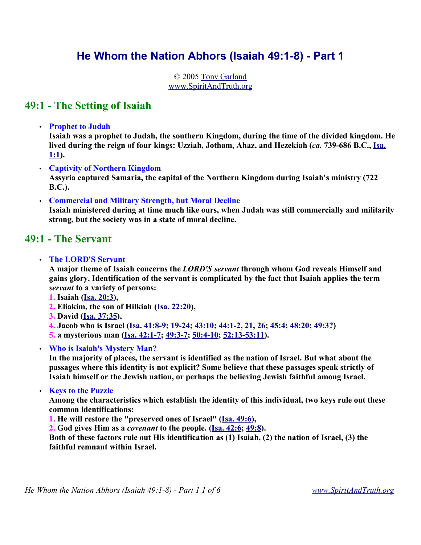# **He Whom the Nation Abhors (Isaiah 49:1-8) - Part 1**

© 2005 Tony Garland www.SpiritAndTruth.org

### **49:1 - The Setting of Isaiah**

• **Prophet to Judah**

**Isaiah was a prophet to Judah, the southern Kingdom, during the time of the divided kingdom. He lived during the reign of four kings: Uzziah, Jotham, Ahaz, and Hezekiah (***ca.* **739-686 B.C., Isa. 1:1).** 

• **Captivity of Northern Kingdom Assyria captured Samaria, the capital of the Northern Kingdom during Isaiah's ministry (722**

**B.C.).** 

• **Commercial and Military Strength, but Moral Decline** 

**Isaiah ministered during at time much like ours, when Judah was still commercially and militarily strong, but the society was in a state of moral decline.** 

### **49:1 - The Servant**

• **The LORD'S Servant** 

**A major theme of Isaiah concerns the** *LORD'S servant* **through whom God reveals Himself and gains glory. Identification of the servant is complicated by the fact that Isaiah applies the term** *servant* **to a variety of persons:**

- **1. Isaiah (Isa. 20:3),**
- **2. Eliakim, the son of Hilkiah (Isa. 22:20),**
- **3. David (Isa. 37:35),**
- **4. Jacob who is Israel (Isa. 41:8-9; 19-24; 43:10; 44:1-2, 21, 26; 45:4; 48:20; 49:3?)**
- **5. a mysterious man (Isa. 42:1-7; 49:3-7; 50:4-10; 52:13-53:11).**
- **Who is Isaiah's Mystery Man?**

**In the majority of places, the servant is identified as the nation of Israel. But what about the passages where this identity is not explicit? Some believe that these passages speak strictly of Isaiah himself or the Jewish nation, or perhaps the believing Jewish faithful among Israel.** 

• **Keys to the Puzzle**

**Among the characteristics which establish the identity of this individual, two keys rule out these common identifications:**

**1. He will restore the "preserved ones of Israel" (Isa. 49:6),** 

**2. God gives Him as a** *covenant* **to the people. (Isa. 42:6; 49:8).** 

**Both of these factors rule out His identification as (1) Isaiah, (2) the nation of Israel, (3) the faithful remnant within Israel.**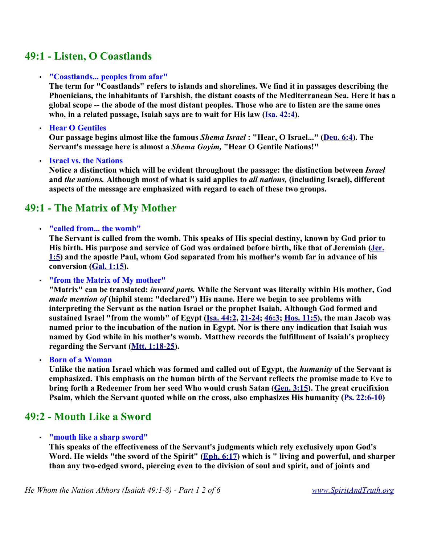## **49:1 - Listen, O Coastlands**

#### • **"Coastlands... peoples from afar"**

**The term for "Coastlands" refers to islands and shorelines. We find it in passages describing the Phoenicians, the inhabitants of Tarshish, the distant coasts of the Mediterranean Sea. Here it has a global scope -- the abode of the most distant peoples. Those who are to listen are the same ones who, in a related passage, Isaiah says are to wait for His law (Isa. 42:4).** 

• **Hear O Gentiles**

**Our passage begins almost like the famous** *Shema Israel* **: "Hear, O Israel..." (Deu. 6:4). The Servant's message here is almost a** *Shema Goyim,* **"Hear O Gentile Nations!"**

• **Israel vs. the Nations**

**Notice a distinction which will be evident throughout the passage: the distinction between** *Israel* **and** *the nations.* **Although most of what is said applies to** *all nations,* **(including Israel), different aspects of the message are emphasized with regard to each of these two groups.**

# **49:1 - The Matrix of My Mother**

#### • **"called from... the womb"**

**The Servant is called from the womb. This speaks of His special destiny, known by God prior to His birth. His purpose and service of God was ordained before birth, like that of Jeremiah (Jer. 1:5) and the apostle Paul, whom God separated from his mother's womb far in advance of his conversion (Gal. 1:15).** 

• **"from the Matrix of My mother"**

**"Matrix" can be translated:** *inward parts.* **While the Servant was literally within His mother, God** *made mention of* **(hiphil stem: "declared") His name. Here we begin to see problems with interpreting the Servant as the nation Israel or the prophet Isaiah. Although God formed and sustained Israel "from the womb" of Egypt (Isa. 44:2, 21-24; 46:3; Hos. 11:5), the man Jacob was named prior to the incubation of the nation in Egypt. Nor is there any indication that Isaiah was named by God while in his mother's womb. Matthew records the fulfillment of Isaiah's prophecy regarding the Servant (Mtt. 1:18-25).** 

• **Born of a Woman**

**Unlike the nation Israel which was formed and called out of Egypt, the** *humanity* **of the Servant is emphasized. This emphasis on the human birth of the Servant reflects the promise made to Eve to bring forth a Redeemer from her seed Who would crush Satan (Gen. 3:15). The great crucifixion Psalm, which the Servant quoted while on the cross, also emphasizes His humanity (Ps. 22:6-10)**

### **49:2 - Mouth Like a Sword**

#### • **"mouth like a sharp sword"**

**This speaks of the effectiveness of the Servant's judgments which rely exclusively upon God's** Word. He wields "the sword of the Spirit" (*Eph. 6:17*) which is " living and powerful, and sharper **than any two-edged sword, piercing even to the division of soul and spirit, and of joints and**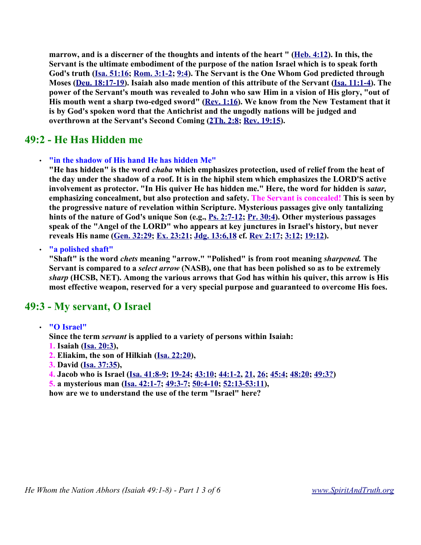**marrow, and is a discerner of the thoughts and intents of the heart " (Heb. 4:12). In this, the Servant is the ultimate embodiment of the purpose of the nation Israel which is to speak forth God's truth (Isa. 51:16; Rom. 3:1-2; 9:4). The Servant is the One Whom God predicted through Moses (Deu. 18:17-19). Isaiah also made mention of this attribute of the Servant (Isa. 11:1-4). The power of the Servant's mouth was revealed to John who saw Him in a vision of His glory, "out of His mouth went a sharp two-edged sword" (Rev. 1:16). We know from the New Testament that it is by God's spoken word that the Antichrist and the ungodly nations will be judged and overthrown at the Servant's Second Coming (2Th. 2:8; Rev. 19:15).** 

### **49:2 - He Has Hidden me**

#### • **"in the shadow of His hand He has hidden Me"**

**"He has hidden" is the word** *chaba* **which emphasizes protection, used of relief from the heat of the day under the shadow of a roof. It is in the hiphil stem which emphasizes the LORD'S active involvement as protector. "In His quiver He has hidden me." Here, the word for hidden is** *satar,* **emphasizing concealment, but also protection and safety. The Servant is concealed! This is seen by the progressive nature of revelation within Scripture. Mysterious passages give only tantalizing hints of the nature of God's unique Son (e.g., Ps. 2:7-12; Pr. 30:4). Other mysterious passages speak of the "Angel of the LORD" who appears at key junctures in Israel's history, but never reveals His name (Gen. 32:29; Ex. 23:21; Jdg. 13:6,18 cf. Rev 2:17; 3:12; 19:12).** 

• **"a polished shaft"**

**"Shaft" is the word** *chets* **meaning "arrow." "Polished" is from root meaning** *sharpened.* **The Servant is compared to a** *select arrow* **(NASB), one that has been polished so as to be extremely** *sharp* **(HCSB, NET). Among the various arrows that God has within his quiver, this arrow is His most effective weapon, reserved for a very special purpose and guaranteed to overcome His foes.** 

### **49:3 - My servant, O Israel**

• **"O Israel"**

**Since the term** *servant* **is applied to a variety of persons within Isaiah:**

- **1. Isaiah (Isa. 20:3),**
- **2. Eliakim, the son of Hilkiah (Isa. 22:20),**
- **3. David (Isa. 37:35),**

**4. Jacob who is Israel (Isa. 41:8-9; 19-24; 43:10; 44:1-2, 21, 26; 45:4; 48:20; 49:3?)**

**5. a mysterious man (Isa. 42:1-7; 49:3-7; 50:4-10; 52:13-53:11),** 

**how are we to understand the use of the term "Israel" here?**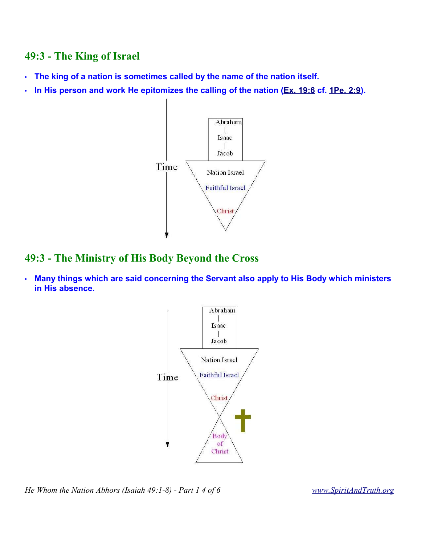## **49:3 - The King of Israel**

- **The king of a nation is sometimes called by the name of the nation itself.**
- **In His person and work He epitomizes the calling of the nation (Ex. 19:6 cf. 1Pe. 2:9).**



### **49:3 - The Ministry of His Body Beyond the Cross**

• **Many things which are said concerning the Servant also apply to His Body which ministers in His absence.**



*He Whom the Nation Abhors (Isaiah 49:1-8) - Part 1 4 of 6 www.SpiritAndTruth.org*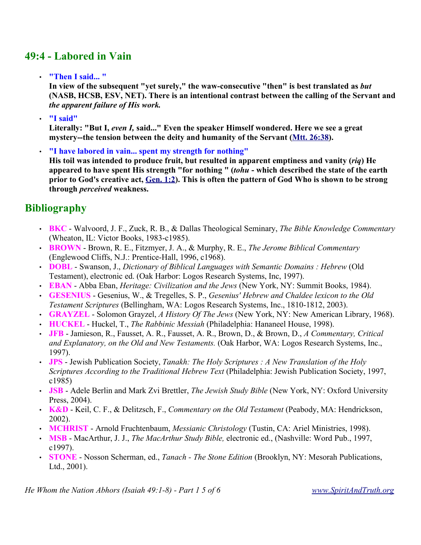# **49:4 - Labored in Vain**

• **"Then I said... "**

**In view of the subsequent "yet surely," the waw-consecutive "then" is best translated as** *but* **(NASB, HCSB, ESV, NET). There is an intentional contrast between the calling of the Servant and** *the apparent failure of His work.*

• **"I said"**

**Literally: "But I,** *even I,* **said..." Even the speaker Himself wondered. Here we see a great mystery--the tension between the deity and humanity of the Servant (Mtt. 26:38).** 

• **"I have labored in vain... spent my strength for nothing" His toil was intended to produce fruit, but resulted in apparent emptiness and vanity (***riq***) He appeared to have spent His strength "for nothing " (***tohu* **- which described the state of the earth prior to God's creative act, Gen. 1:2). This is often the pattern of God Who is shown to be strong through** *perceived* **weakness.**

# **Bibliography**

- **BKC**  Walvoord, J. F., Zuck, R. B., & Dallas Theological Seminary, *The Bible Knowledge Commentary* (Wheaton, IL: Victor Books, 1983-c1985).
- **BROWN** Brown, R. E., Fitzmyer, J. A., & Murphy, R. E., *The Jerome Biblical Commentary* (Englewood Cliffs, N.J.: Prentice-Hall, 1996, c1968).
- **DOBL** Swanson, J., *Dictionary of Biblical Languages with Semantic Domains : Hebrew* (Old Testament), electronic ed. (Oak Harbor: Logos Research Systems, Inc, 1997).
- **EBAN** Abba Eban, *Heritage: Civilization and the Jews* (New York, NY: Summit Books, 1984).
- **GESENIUS** Gesenius, W., & Tregelles, S. P., *Gesenius' Hebrew and Chaldee lexicon to the Old Testament Scriptures* (Bellingham, WA: Logos Research Systems, Inc., 1810-1812, 2003).
- **GRAYZEL** Solomon Grayzel, *A History Of The Jews* (New York, NY: New American Library, 1968).
- **HUCKEL** Huckel, T., *The Rabbinic Messiah* (Philadelphia: Hananeel House, 1998).
- **JFB** Jamieson, R., Fausset, A. R., Fausset, A. R., Brown, D., & Brown, D., *A Commentary, Critical and Explanatory, on the Old and New Testaments.* (Oak Harbor, WA: Logos Research Systems, Inc., 1997).
- **JPS** Jewish Publication Society, *Tanakh: The Holy Scriptures : A New Translation of the Holy Scriptures According to the Traditional Hebrew Text* (Philadelphia: Jewish Publication Society, 1997, c1985)
- **JSB** Adele Berlin and Mark Zvi Brettler, *The Jewish Study Bible* (New York, NY: Oxford University Press, 2004).
- **K&D** Keil, C. F., & Delitzsch, F., *Commentary on the Old Testament* (Peabody, MA: Hendrickson, 2002).
- **MCHRIST** Arnold Fruchtenbaum, *Messianic Christology* (Tustin, CA: Ariel Ministries, 1998).
- **MSB** MacArthur, J. J., *The MacArthur Study Bible,* electronic ed., (Nashville: Word Pub., 1997, c1997).
- **STONE** Nosson Scherman, ed., *Tanach The Stone Edition* (Brooklyn, NY: Mesorah Publications, Ltd., 2001).